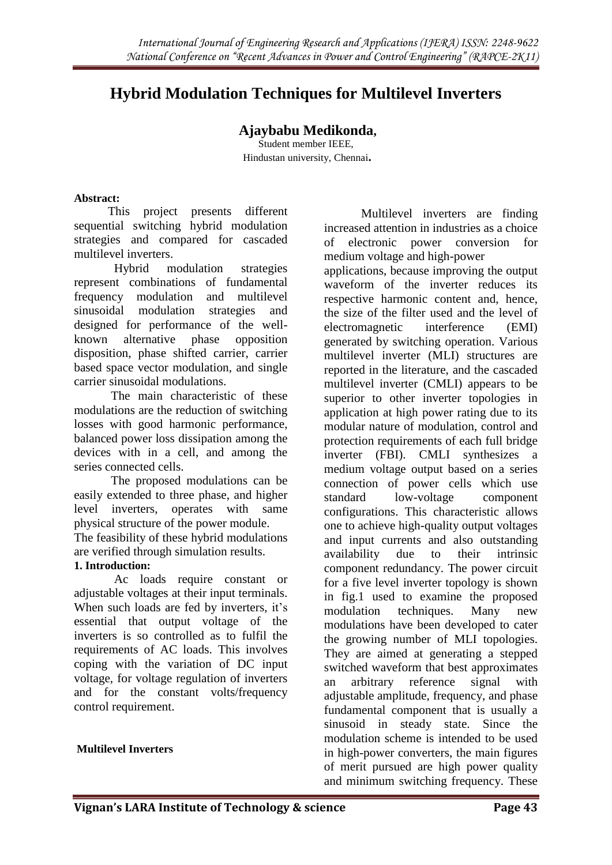# **Hybrid Modulation Techniques for Multilevel Inverters**

# **Ajaybabu Medikonda,**

Student member IEEE, Hindustan university, Chennai**.**

#### **Abstract:**

 This project presents different sequential switching hybrid modulation strategies and compared for cascaded multilevel inverters.

Hybrid modulation strategies represent combinations of fundamental frequency modulation and multilevel sinusoidal modulation strategies and designed for performance of the wellknown alternative phase opposition disposition, phase shifted carrier, carrier based space vector modulation, and single carrier sinusoidal modulations.

The main characteristic of these modulations are the reduction of switching losses with good harmonic performance, balanced power loss dissipation among the devices with in a cell, and among the series connected cells.

The proposed modulations can be easily extended to three phase, and higher level inverters, operates with same physical structure of the power module. The feasibility of these hybrid modulations

are verified through simulation results.

#### **1. Introduction:**

 Ac loads require constant or adjustable voltages at their input terminals. When such loads are fed by inverters, it's essential that output voltage of the inverters is so controlled as to fulfil the requirements of AC loads. This involves coping with the variation of DC input voltage, for voltage regulation of inverters and for the constant volts/frequency control requirement.

#### **Multilevel Inverters**

Multilevel inverters are finding increased attention in industries as a choice of electronic power conversion for medium voltage and high-power

applications, because improving the output waveform of the inverter reduces its respective harmonic content and, hence, the size of the filter used and the level of electromagnetic interference (EMI) generated by switching operation. Various multilevel inverter (MLI) structures are reported in the literature, and the cascaded multilevel inverter (CMLI) appears to be superior to other inverter topologies in application at high power rating due to its modular nature of modulation, control and protection requirements of each full bridge inverter (FBI). CMLI synthesizes a medium voltage output based on a series connection of power cells which use standard low-voltage component configurations. This characteristic allows one to achieve high-quality output voltages and input currents and also outstanding availability due to their intrinsic component redundancy. The power circuit for a five level inverter topology is shown in fig.1 used to examine the proposed modulation techniques. Many new modulations have been developed to cater the growing number of MLI topologies. They are aimed at generating a stepped switched waveform that best approximates an arbitrary reference signal with adjustable amplitude, frequency, and phase fundamental component that is usually a sinusoid in steady state. Since the modulation scheme is intended to be used in high-power converters, the main figures of merit pursued are high power quality and minimum switching frequency. These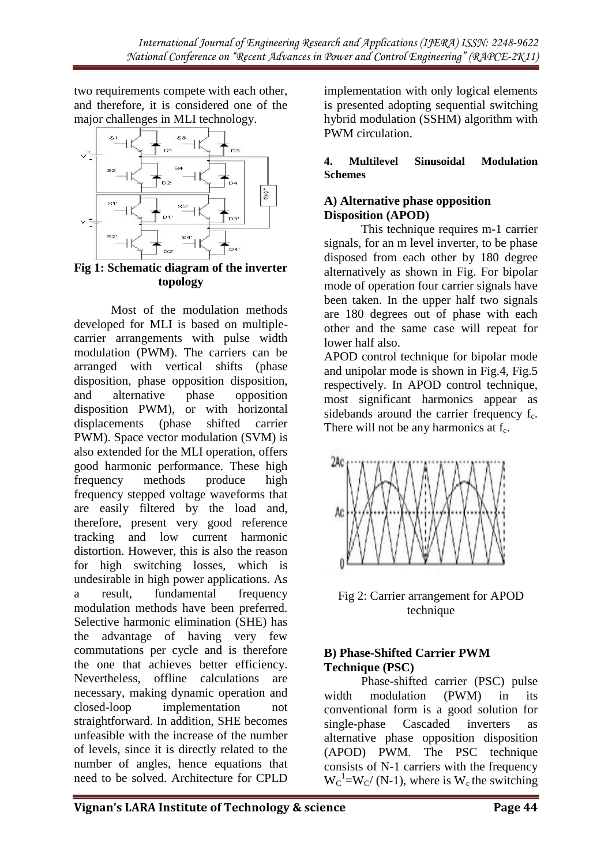two requirements compete with each other, and therefore, it is considered one of the major challenges in MLI technology.



**Fig 1: Schematic diagram of the inverter topology**

Most of the modulation methods developed for MLI is based on multiplecarrier arrangements with pulse width modulation (PWM). The carriers can be arranged with vertical shifts (phase disposition, phase opposition disposition, and alternative phase opposition disposition PWM), or with horizontal displacements (phase shifted carrier PWM). Space vector modulation (SVM) is also extended for the MLI operation, offers good harmonic performance. These high frequency methods produce high frequency stepped voltage waveforms that are easily filtered by the load and, therefore, present very good reference tracking and low current harmonic distortion. However, this is also the reason for high switching losses, which is undesirable in high power applications. As a result, fundamental frequency modulation methods have been preferred. Selective harmonic elimination (SHE) has the advantage of having very few commutations per cycle and is therefore the one that achieves better efficiency. Nevertheless, offline calculations are necessary, making dynamic operation and closed-loop implementation not straightforward. In addition, SHE becomes unfeasible with the increase of the number of levels, since it is directly related to the number of angles, hence equations that need to be solved. Architecture for CPLD

implementation with only logical elements is presented adopting sequential switching hybrid modulation (SSHM) algorithm with PWM circulation.

#### **4. Multilevel Sinusoidal Modulation Schemes**

## **A) Alternative phase opposition Disposition (APOD)**

This technique requires m-1 carrier signals, for an m level inverter, to be phase disposed from each other by 180 degree alternatively as shown in Fig. For bipolar mode of operation four carrier signals have been taken. In the upper half two signals are 180 degrees out of phase with each other and the same case will repeat for lower half also.

APOD control technique for bipolar mode and unipolar mode is shown in Fig.4, Fig.5 respectively. In APOD control technique, most significant harmonics appear as sidebands around the carrier frequency  $f_c$ . There will not be any harmonics at  $f_c$ .



Fig 2: Carrier arrangement for APOD technique

## **B) Phase-Shifted Carrier PWM Technique (PSC)**

Phase-shifted carrier (PSC) pulse width modulation (PWM) in its conventional form is a good solution for single-phase Cascaded inverters alternative phase opposition disposition (APOD) PWM. The PSC technique consists of N-1 carriers with the frequency  $W_C^{-1} = W_C/(N-1)$ , where is  $W_c$  the switching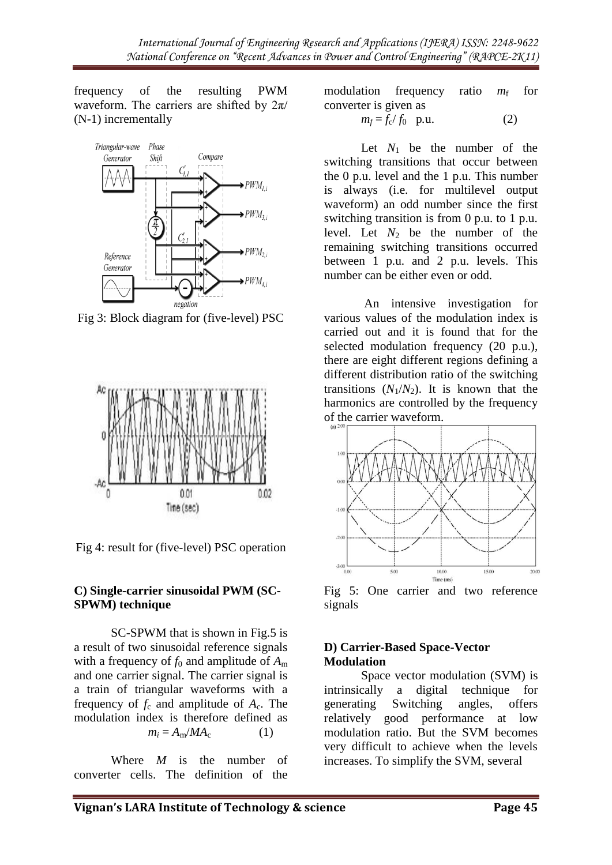frequency of the resulting PWM waveform. The carriers are shifted by  $2\pi/$ (N-1) incrementally



Fig 3: Block diagram for (five-level) PSC



Fig 4: result for (five-level) PSC operation

#### **C) Single-carrier sinusoidal PWM (SC-SPWM) technique**

SC-SPWM that is shown in Fig.5 is a result of two sinusoidal reference signals with a frequency of  $f_0$  and amplitude of  $A_m$ and one carrier signal. The carrier signal is a train of triangular waveforms with a frequency of  $f_c$  and amplitude of  $A_c$ . The modulation index is therefore defined as  $m_i = A_m / MA_c$  (1)

Where *M* is the number of converter cells. The definition of the modulation frequency ratio  $m_f$  for converter is given as

$$
m_f = f_c / f_0 \quad \text{p.u.} \tag{2}
$$

Let  $N_1$  be the number of the switching transitions that occur between the 0 p.u. level and the 1 p.u. This number is always (i.e. for multilevel output waveform) an odd number since the first switching transition is from 0 p.u. to 1 p.u. level. Let  $N_2$  be the number of the remaining switching transitions occurred between 1 p.u. and 2 p.u. levels. This number can be either even or odd.

An intensive investigation for various values of the modulation index is carried out and it is found that for the selected modulation frequency (20 p.u.), there are eight different regions defining a different distribution ratio of the switching transitions  $(N_1/N_2)$ . It is known that the harmonics are controlled by the frequency of the carrier waveform.



Fig 5: One carrier and two reference signals

#### **D) Carrier-Based Space-Vector Modulation**

Space vector modulation (SVM) is intrinsically a digital technique for generating Switching angles, offers relatively good performance at low modulation ratio. But the SVM becomes very difficult to achieve when the levels increases. To simplify the SVM, several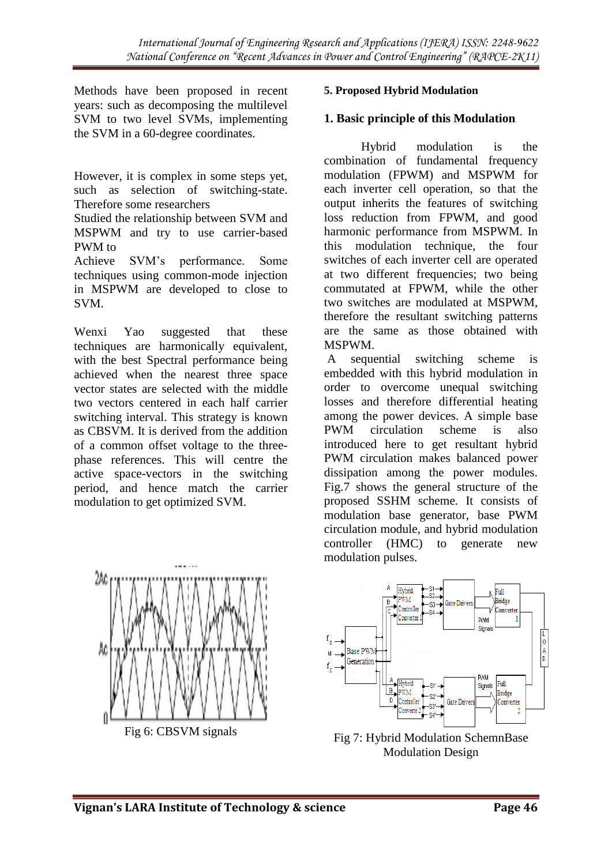Methods have been proposed in recent years: such as decomposing the multilevel SVM to two level SVMs, implementing the SVM in a 60-degree coordinates.

However, it is complex in some steps yet, such as selection of switching-state. Therefore some researchers

Studied the relationship between SVM and MSPWM and try to use carrier-based PWM to

Achieve SVM's performance. Some techniques using common-mode injection in MSPWM are developed to close to SVM.

Wenxi Yao suggested that these techniques are harmonically equivalent, with the best Spectral performance being achieved when the nearest three space vector states are selected with the middle two vectors centered in each half carrier switching interval. This strategy is known as CBSVM. It is derived from the addition of a common offset voltage to the threephase references. This will centre the active space-vectors in the switching period, and hence match the carrier modulation to get optimized SVM.



#### **1. Basic principle of this Modulation**

Hybrid modulation is the combination of fundamental frequency modulation (FPWM) and MSPWM for each inverter cell operation, so that the output inherits the features of switching loss reduction from FPWM, and good harmonic performance from MSPWM. In this modulation technique, the four switches of each inverter cell are operated at two different frequencies; two being commutated at FPWM, while the other two switches are modulated at MSPWM, therefore the resultant switching patterns are the same as those obtained with MSPWM.

A sequential switching scheme is embedded with this hybrid modulation in order to overcome unequal switching losses and therefore differential heating among the power devices. A simple base PWM circulation scheme is also introduced here to get resultant hybrid PWM circulation makes balanced power dissipation among the power modules. Fig.7 shows the general structure of the proposed SSHM scheme. It consists of modulation base generator, base PWM circulation module, and hybrid modulation controller (HMC) to generate new modulation pulses.





Fig 7: Hybrid Modulation SchemnBase Modulation Design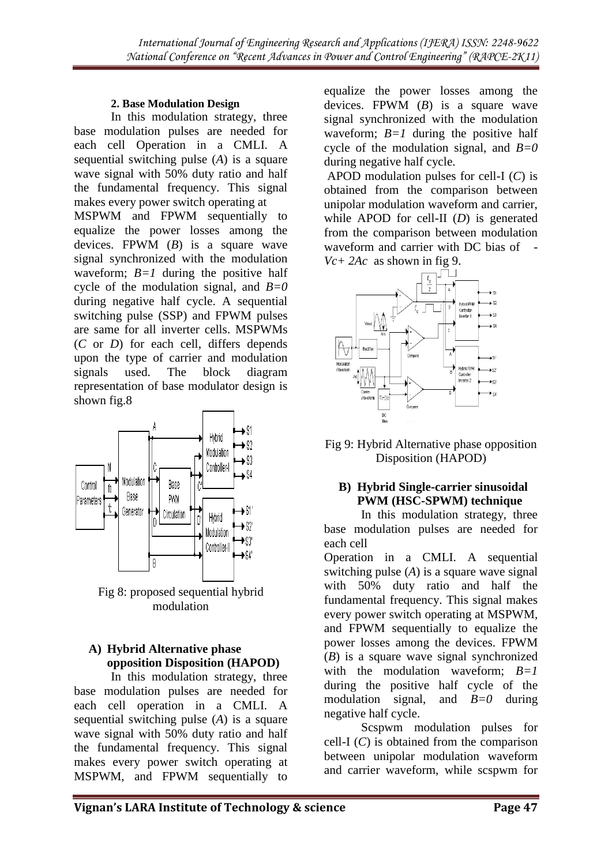#### **2. Base Modulation Design**

In this modulation strategy, three base modulation pulses are needed for each cell Operation in a CMLI. A sequential switching pulse (*A*) is a square wave signal with 50% duty ratio and half the fundamental frequency. This signal makes every power switch operating at MSPWM and FPWM sequentially to equalize the power losses among the devices. FPWM (*B*) is a square wave signal synchronized with the modulation waveform; *B=1* during the positive half cycle of the modulation signal, and *B=0*  during negative half cycle. A sequential switching pulse (SSP) and FPWM pulses are same for all inverter cells. MSPWMs (*C* or *D*) for each cell, differs depends upon the type of carrier and modulation signals used. The block diagram representation of base modulator design is shown fig.8



Fig 8: proposed sequential hybrid modulation

## **A) Hybrid Alternative phase opposition Disposition (HAPOD)**

In this modulation strategy, three base modulation pulses are needed for each cell operation in a CMLI. A sequential switching pulse (*A*) is a square wave signal with 50% duty ratio and half the fundamental frequency. This signal makes every power switch operating at MSPWM, and FPWM sequentially to equalize the power losses among the devices. FPWM (*B*) is a square wave signal synchronized with the modulation waveform; *B=1* during the positive half cycle of the modulation signal, and *B=0*  during negative half cycle.

APOD modulation pulses for cell-I (*C*) is obtained from the comparison between unipolar modulation waveform and carrier, while APOD for cell-II (*D*) is generated from the comparison between modulation waveform and carrier with DC bias of -*Vc+ 2Ac* as shown in fig 9.



Fig 9: Hybrid Alternative phase opposition Disposition (HAPOD)

# **B) Hybrid Single-carrier sinusoidal PWM (HSC-SPWM) technique**

In this modulation strategy, three base modulation pulses are needed for each cell

Operation in a CMLI. A sequential switching pulse (*A*) is a square wave signal with 50% duty ratio and half the fundamental frequency. This signal makes every power switch operating at MSPWM, and FPWM sequentially to equalize the power losses among the devices. FPWM (*B*) is a square wave signal synchronized with the modulation waveform:  $B=1$ during the positive half cycle of the modulation signal, and *B=0* during negative half cycle.

Scspwm modulation pulses for cell-I (*C*) is obtained from the comparison between unipolar modulation waveform and carrier waveform, while scspwm for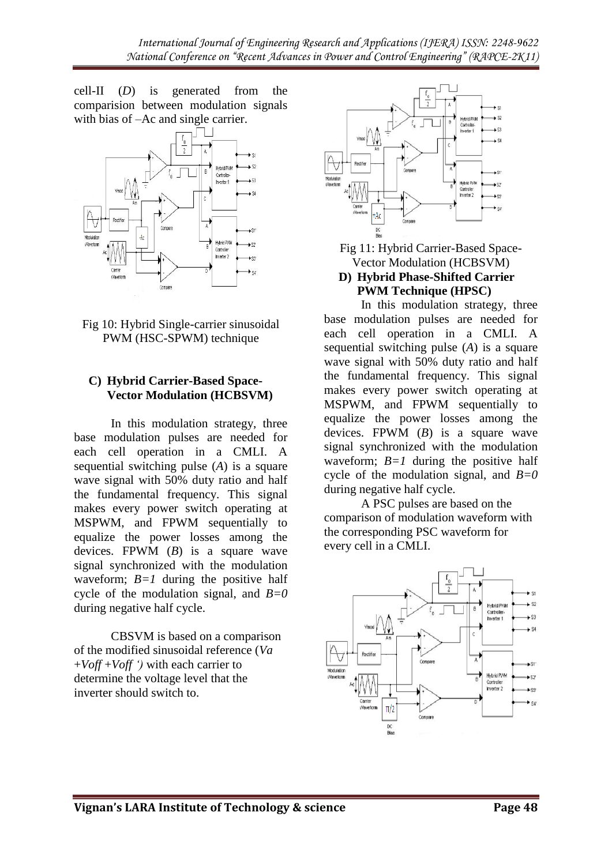cell-II (*D*) is generated from the comparision between modulation signals with bias of –Ac and single carrier.





## **C) Hybrid Carrier-Based Space-Vector Modulation (HCBSVM)**

In this modulation strategy, three base modulation pulses are needed for each cell operation in a CMLI. A sequential switching pulse (*A*) is a square wave signal with 50% duty ratio and half the fundamental frequency. This signal makes every power switch operating at MSPWM, and FPWM sequentially to equalize the power losses among the devices. FPWM (*B*) is a square wave signal synchronized with the modulation waveform;  $B=1$  during the positive half cycle of the modulation signal, and *B=0*  during negative half cycle.

CBSVM is based on a comparison of the modified sinusoidal reference (*Va*  +*Voff* +*Voff ')* with each carrier to determine the voltage level that the inverter should switch to.



Fig 11: Hybrid Carrier-Based Space-Vector Modulation (HCBSVM) **D) Hybrid Phase-Shifted Carrier** 

# **PWM Technique (HPSC)**

In this modulation strategy, three base modulation pulses are needed for each cell operation in a CMLI. A sequential switching pulse (*A*) is a square wave signal with 50% duty ratio and half the fundamental frequency. This signal makes every power switch operating at MSPWM, and FPWM sequentially to equalize the power losses among the devices. FPWM (*B*) is a square wave signal synchronized with the modulation waveform;  $B=1$  during the positive half cycle of the modulation signal, and *B=0*  during negative half cycle.

A PSC pulses are based on the comparison of modulation waveform with the corresponding PSC waveform for every cell in a CMLI.

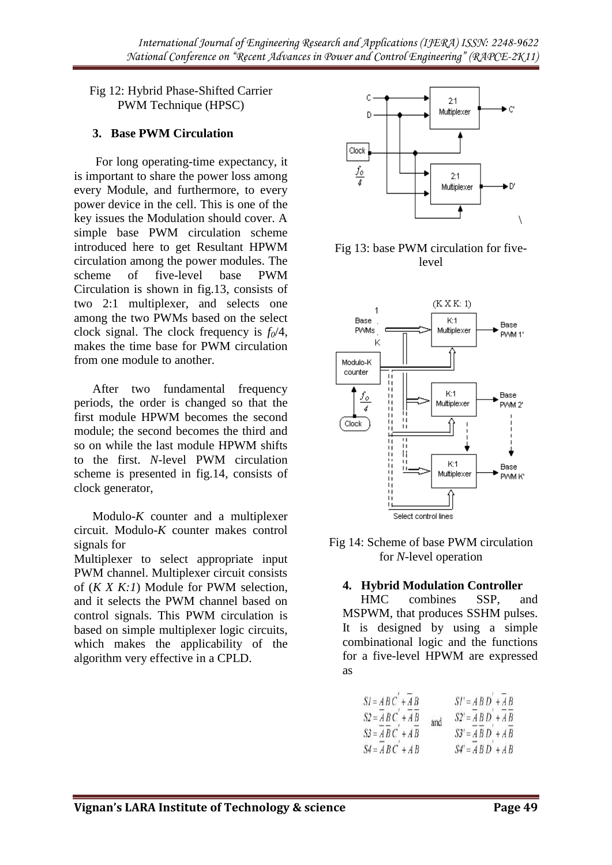Fig 12: Hybrid Phase-Shifted Carrier PWM Technique (HPSC)

## **3. Base PWM Circulation**

For long operating-time expectancy, it is important to share the power loss among every Module, and furthermore, to every power device in the cell. This is one of the key issues the Modulation should cover. A simple base PWM circulation scheme introduced here to get Resultant HPWM circulation among the power modules. The scheme of five-level base PWM Circulation is shown in fig.13, consists of two 2:1 multiplexer, and selects one among the two PWMs based on the select clock signal. The clock frequency is *f0*/4, makes the time base for PWM circulation from one module to another.

After two fundamental frequency periods, the order is changed so that the first module HPWM becomes the second module; the second becomes the third and so on while the last module HPWM shifts to the first. *N*-level PWM circulation scheme is presented in fig.14, consists of clock generator,

Modulo-*K* counter and a multiplexer circuit. Modulo-*K* counter makes control signals for

Multiplexer to select appropriate input PWM channel. Multiplexer circuit consists of (*K X K:1*) Module for PWM selection, and it selects the PWM channel based on control signals. This PWM circulation is based on simple multiplexer logic circuits, which makes the applicability of the algorithm very effective in a CPLD.



Fig 13: base PWM circulation for fivelevel



Fig 14: Scheme of base PWM circulation for *N*-level operation

#### **4. Hybrid Modulation Controller**

HMC combines SSP, and MSPWM, that produces SSHM pulses. It is designed by using a simple combinational logic and the functions for a five-level HPWM are expressed as

$$
SI = AB C' + \overline{A} B
$$
  
\n
$$
SI = \overline{A} B C' + \overline{A} B
$$
  
\n
$$
SI' = \overline{A} B D' + \overline{A} B
$$
  
\n
$$
SI' = \overline{A} B D' + \overline{A} B
$$
  
\n
$$
SI' = \overline{A} B D' + \overline{A} B
$$
  
\n
$$
SI' = \overline{A} B D' + \overline{A} B
$$
  
\n
$$
SI' = \overline{A} B D' + \overline{A} B
$$
  
\n
$$
SI' = \overline{A} B D' + \overline{A} B
$$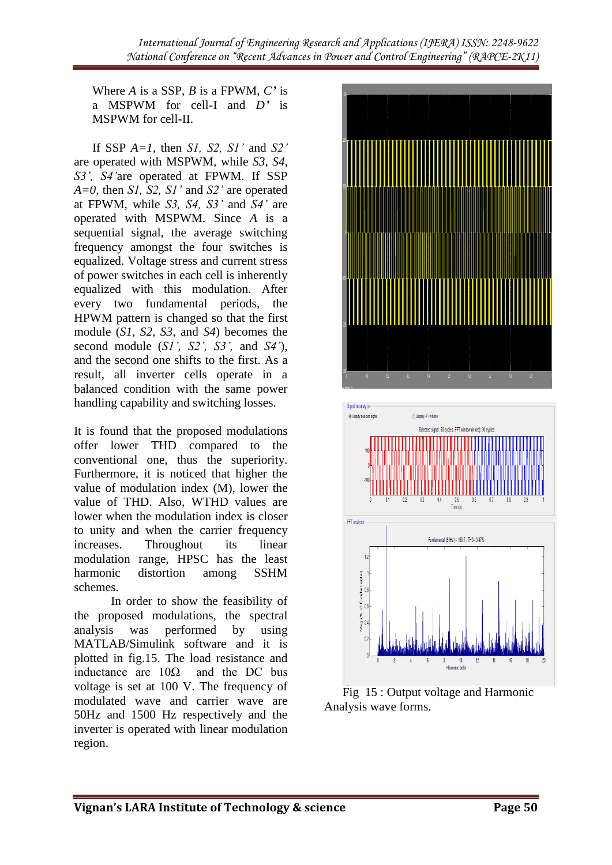*International Journal of Engineering Research and Applications (IJERA) ISSN: 2248-9622 National Conference on "Recent Advances in Power and Control Engineering" (RAPCE-2K11)*

Where *A* is a SSP, *B* is a FPWM, *C'* is a MSPWM for cell-I and *D'* is MSPWM for cell-II.

If SSP *A=1,* then *S1, S2, S1'* and *S2'*  are operated with MSPWM, while *S3, S4, S3', S4'*are operated at FPWM. If SSP *A=0,* then *S1, S2, S1'* and *S2'* are operated at FPWM, while *S3, S4, S3'* and *S4'* are operated with MSPWM. Since *A* is a sequential signal, the average switching frequency amongst the four switches is equalized. Voltage stress and current stress of power switches in each cell is inherently equalized with this modulation. After every two fundamental periods, the HPWM pattern is changed so that the first module (*S1, S2, S3,* and *S4*) becomes the second module (*S1', S2', S3',* and *S4'*), and the second one shifts to the first. As a result, all inverter cells operate in a balanced condition with the same power handling capability and switching losses.

It is found that the proposed modulations offer lower THD compared to the conventional one, thus the superiority. Furthermore, it is noticed that higher the value of modulation index (M), lower the value of THD. Also, WTHD values are lower when the modulation index is closer to unity and when the carrier frequency increases. Throughout its linear modulation range, HPSC has the least harmonic distortion among SSHM schemes.

In order to show the feasibility of the proposed modulations, the spectral analysis was performed by using MATLAB/Simulink software and it is plotted in fig.15. The load resistance and inductance are  $10\Omega$  and the DC bus voltage is set at 100 V. The frequency of modulated wave and carrier wave are 50Hz and 1500 Hz respectively and the inverter is operated with linear modulation region.



Fig 15 : Output voltage and Harmonic Analysis wave forms.